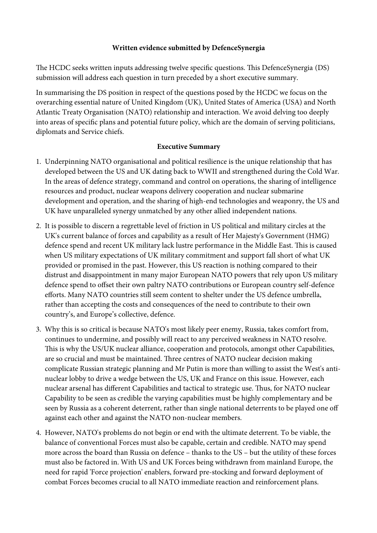## **Written evidence submitted by DefenceSynergia**

The HCDC seeks written inputs addressing twelve specific questions. This DefenceSynergia (DS) submission will address each question in turn preceded by a short executive summary.

In summarising the DS position in respect of the questions posed by the HCDC we focus on the overarching essential nature of United Kingdom (UK), United States of America (USA) and North Atlantic Treaty Organisation (NATO) relationship and interaction. We avoid delving too deeply into areas of specifc plans and potential future policy, which are the domain of serving politicians, diplomats and Service chiefs.

## **Executive Summary**

- 1. Underpinning NATO organisational and political resilience is the unique relationship that has developed between the US and UK dating back to WWII and strengthened during the Cold War. In the areas of defence strategy, command and control on operations, the sharing of intelligence resources and product, nuclear weapons delivery cooperation and nuclear submarine development and operation, and the sharing of high-end technologies and weaponry, the US and UK have unparalleled synergy unmatched by any other allied independent nations.
- 2. It is possible to discern a regrettable level of friction in US political and military circles at the UK's current balance of forces and capability as a result of Her Majesty's Government (HMG) defence spend and recent UK military lack lustre performance in the Middle East. This is caused when US military expectations of UK military commitment and support fall short of what UK provided or promised in the past. However, this US reaction is nothing compared to their distrust and disappointment in many major European NATO powers that rely upon US military defence spend to ofset their own paltry NATO contributions or European country self-defence eforts. Many NATO countries still seem content to shelter under the US defence umbrella, rather than accepting the costs and consequences of the need to contribute to their own country's, and Europe's collective, defence.
- 3. Why this is so critical is because NATO's most likely peer enemy, Russia, takes comfort from, continues to undermine, and possibly will react to any perceived weakness in NATO resolve. This is why the US/UK nuclear alliance, cooperation and protocols, amongst other Capabilities, are so crucial and must be maintained. Three centres of NATO nuclear decision making complicate Russian strategic planning and Mr Putin is more than willing to assist the West's antinuclear lobby to drive a wedge between the US, UK and France on this issue. However, each nuclear arsenal has different Capabilities and tactical to strategic use. Thus, for NATO nuclear Capability to be seen as credible the varying capabilities must be highly complementary and be seen by Russia as a coherent deterrent, rather than single national deterrents to be played one of against each other and against the NATO non-nuclear members.
- 4. However, NATO's problems do not begin or end with the ultimate deterrent. To be viable, the balance of conventional Forces must also be capable, certain and credible. NATO may spend more across the board than Russia on defence – thanks to the US – but the utility of these forces must also be factored in. With US and UK Forces being withdrawn from mainland Europe, the need for rapid 'Force projection' enablers, forward pre-stocking and forward deployment of combat Forces becomes crucial to all NATO immediate reaction and reinforcement plans.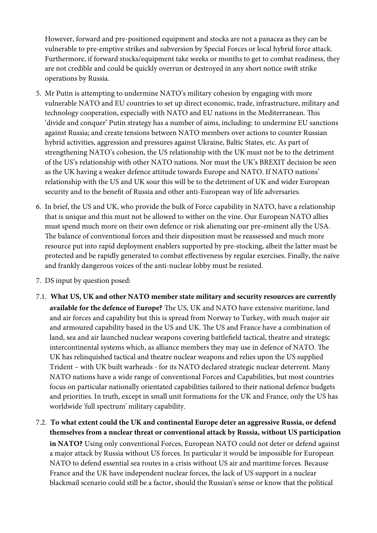However, forward and pre-positioned equipment and stocks are not a panacea as they can be vulnerable to pre-emptive strikes and subversion by Special Forces or local hybrid force attack. Furthermore, if forward stocks/equipment take weeks or months to get to combat readiness, they are not credible and could be quickly overrun or destroyed in any short notice swift strike operations by Russia.

- 5. Mr Putin is attempting to undermine NATO's military cohesion by engaging with more vulnerable NATO and EU countries to set up direct economic, trade, infrastructure, military and technology cooperation, especially with NATO and EU nations in the Mediterranean. This 'divide and conquer' Putin strategy has a number of aims, including: to undermine EU sanctions against Russia; and create tensions between NATO members over actions to counter Russian hybrid activities, aggression and pressures against Ukraine, Baltic States, etc. As part of strengthening NATO's cohesion, the US relationship with the UK must not be to the detriment of the US's relationship with other NATO nations. Nor must the UK's BREXIT decision be seen as the UK having a weaker defence attitude towards Europe and NATO. If NATO nations' relationship with the US and UK sour this will be to the detriment of UK and wider European security and to the beneft of Russia and other anti-European way of life adversaries.
- 6. In brief, the US and UK, who provide the bulk of Force capability in NATO, have a relationship that is unique and this must not be allowed to wither on the vine. Our European NATO allies must spend much more on their own defence or risk alienating our pre-eminent ally the USA. The balance of conventional forces and their disposition must be reassessed and much more resource put into rapid deployment enablers supported by pre-stocking, albeit the latter must be protected and be rapidly generated to combat efectiveness by regular exercises. Finally, the naïve and frankly dangerous voices of the anti-nuclear lobby must be resisted.
- 7. DS input by question posed:
- 7.1. **What US, UK and other NATO member state military and security resources are currently**  available for the defence of Europe? The US, UK and NATO have extensive maritime, land and air forces and capability but this is spread from Norway to Turkey, with much major air and armoured capability based in the US and UK. The US and France have a combination of land, sea and air launched nuclear weapons covering battlefeld tactical, theatre and strategic intercontinental systems which, as alliance members they may use in defence of NATO. The UK has relinquished tactical and theatre nuclear weapons and relies upon the US supplied Trident – with UK built warheads - for its NATO declared strategic nuclear deterrent. Many NATO nations have a wide range of conventional Forces and Capabilities, but most countries focus on particular nationally orientated capabilities tailored to their national defence budgets and priorities. In truth, except in small unit formations for the UK and France, only the US has worldwide 'full spectrum' military capability.
- 7.2. **To what extent could the UK and continental Europe deter an aggressive Russia, or defend themselves from a nuclear threat or conventional attack by Russia, without US participation in NATO?** Using only conventional Forces, European NATO could not deter or defend against a major attack by Russia without US forces. In particular it would be impossible for European NATO to defend essential sea routes in a crisis without US air and maritime forces. Because France and the UK have independent nuclear forces, the lack of US support in a nuclear blackmail scenario could still be a factor, should the Russian's sense or know that the political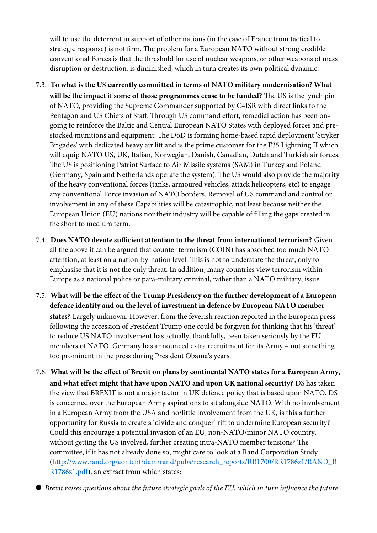will to use the deterrent in support of other nations (in the case of France from tactical to strategic response) is not firm. The problem for a European NATO without strong credible conventional Forces is that the threshold for use of nuclear weapons, or other weapons of mass disruption or destruction, is diminished, which in turn creates its own political dynamic.

- 7.3. **To what is the US currently committed in terms of NATO military modernisation? What**  will be the impact if some of those programmes cease to be funded? The US is the lynch pin of NATO, providing the Supreme Commander supported by C4ISR with direct links to the Pentagon and US Chiefs of Staff. Through US command effort, remedial action has been ongoing to reinforce the Baltic and Central European NATO States with deployed forces and prestocked munitions and equipment. The DoD is forming home-based rapid deployment 'Stryker Brigades' with dedicated heavy air lift and is the prime customer for the F35 Lightning II which will equip NATO US, UK, Italian, Norwegian, Danish, Canadian, Dutch and Turkish air forces. The US is positioning Patriot Surface to Air Missile systems (SAM) in Turkey and Poland (Germany, Spain and Netherlands operate the system). The US would also provide the majority of the heavy conventional forces (tanks, armoured vehicles, attack helicopters, etc) to engage any conventional Force invasion of NATO borders. Removal of US command and control or involvement in any of these Capabilities will be catastrophic, not least because neither the European Union (EU) nations nor their industry will be capable of flling the gaps created in the short to medium term.
- 7.4. Does NATO devote sufficient attention to the threat from international terrorism? Given all the above it can be argued that counter terrorism (COIN) has absorbed too much NATO attention, at least on a nation-by-nation level. This is not to understate the threat, only to emphasise that it is not the only threat. In addition, many countries view terrorism within Europe as a national police or para-military criminal, rather than a NATO military, issue.
- 7.5. **What will be the efect of the Trump Presidency on the further development of a European defence identity and on the level of investment in defence by European NATO member**

**states?** Largely unknown. However, from the feverish reaction reported in the European press following the accession of President Trump one could be forgiven for thinking that his 'threat' to reduce US NATO involvement has actually, thankfully, been taken seriously by the EU members of NATO. Germany has announced extra recruitment for its Army – not something too prominent in the press during President Obama's years.

7.6. **What will be the efect of Brexit on plans by continental NATO states for a European Army, and what efect might that have upon NATO and upon UK national security?** DS has taken the view that BREXIT is not a major factor in UK defence policy that is based upon NATO. DS is concerned over the European Army aspirations to sit alongside NATO. With no involvement in a European Army from the USA and no/little involvement from the UK, is this a further opportunity for Russia to create a 'divide and conquer' rif to undermine European security? Could this encourage a potential invasion of an EU, non-NATO/minor NATO country, without getting the US involved, further creating intra-NATO member tensions? The committee, if it has not already done so, might care to look at a Rand Corporation Study [\(http://www.rand.org/content/dam/rand/pubs/research\\_reports/RR1700/RR1786z1/RAND\\_R](http://www.rand.org/content/dam/rand/pubs/research_reports/RR1700/RR1786z1/RAND_RR1786z1.pdf) [R1786z1.pdf\)](http://www.rand.org/content/dam/rand/pubs/research_reports/RR1700/RR1786z1/RAND_RR1786z1.pdf), an extract from which states:

*Brexit raises questions about the future strategic goals of the EU, which in turn infuence the future*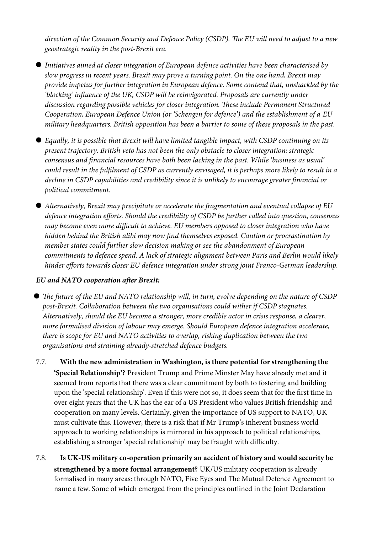direction of the Common Security and Defence Policy (CSDP). The EU will need to adjust to a new *geostrategic reality in the post-Brexit era.*

- *Initiatives aimed at closer integration of European defence activities have been characterised by slow progress in recent years. Brexit may prove a turning point. On the one hand, Brexit may provide impetus for further integration in European defence. Some contend that, unshackled by the 'blocking' infuence of the UK, CSDP will be reinvigorated. Proposals are currently under*  discussion regarding possible vehicles for closer integration. These include Permanent Structured *Cooperation, European Defence Union (or 'Schengen for defence') and the establishment of a EU military headquarters. British opposition has been a barrier to some of these proposals in the past.*
- *Equally, it is possible that Brexit will have limited tangible impact, with CSDP continuing on its present trajectory. British veto has not been the only obstacle to closer integration: strategic consensus and fnancial resources have both been lacking in the past. While 'business as usual' could result in the fulflment of CSDP as currently envisaged, it is perhaps more likely to result in a decline in CSDP capabilities and credibility since it is unlikely to encourage greater fnancial or political commitment.*
- *Alternatively, Brexit may precipitate or accelerate the fragmentation and eventual collapse of EU defence integration eforts. Should the credibility of CSDP be further called into question, consensus may become even more difcult to achieve. EU members opposed to closer integration who have hidden behind the British alibi may now fnd themselves exposed. Caution or procrastination by member states could further slow decision making or see the abandonment of European commitments to defence spend. A lack of strategic alignment between Paris and Berlin would likely hinder eforts towards closer EU defence integration under strong joint Franco-German leadership.*

## *EU and NATO cooperation afer Brexit:*

- **The future of the EU and NATO relationship will, in turn, evolve depending on the nature of CSDP** *post-Brexit. Collaboration between the two organisations could wither if CSDP stagnates. Alternatively, should the EU become a stronger, more credible actor in crisis response, a clearer, more formalised division of labour may emerge. Should European defence integration accelerate, there is scope for EU and NATO activities to overlap, risking duplication between the two organisations and straining already-stretched defence budgets.*
- 7.7. **With the new administration in Washington, is there potential for strengthening the 'Special Relationship'?** President Trump and Prime Minster May have already met and it seemed from reports that there was a clear commitment by both to fostering and building upon the 'special relationship'. Even if this were not so, it does seem that for the frst time in over eight years that the UK has the ear of a US President who values British friendship and cooperation on many levels. Certainly, given the importance of US support to NATO, UK must cultivate this. However, there is a risk that if Mr Trump's inherent business world approach to working relationships is mirrored in his approach to political relationships, establishing a stronger 'special relationship' may be fraught with difficulty.
- 7.8. **Is UK-US military co-operation primarily an accident of history and would security be strengthened by a more formal arrangement?** UK/US military cooperation is already formalised in many areas: through NATO, Five Eyes and The Mutual Defence Agreement to name a few. Some of which emerged from the principles outlined in the Joint Declaration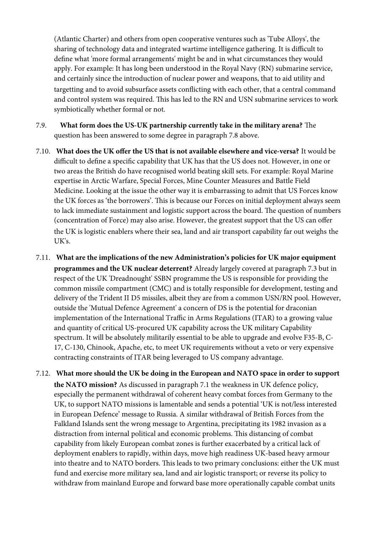(Atlantic Charter) and others from open cooperative ventures such as 'Tube Alloys', the sharing of technology data and integrated wartime intelligence gathering. It is difficult to defne what 'more formal arrangements' might be and in what circumstances they would apply. For example: It has long been understood in the Royal Navy (RN) submarine service, and certainly since the introduction of nuclear power and weapons, that to aid utility and targetting and to avoid subsurface assets conficting with each other, that a central command and control system was required. This has led to the RN and USN submarine services to work symbiotically whether formal or not.

- 7.9. **What form does the US-UK partnership currently take in the military arena?** The question has been answered to some degree in paragraph 7.8 above.
- 7.10. **What does the UK ofer the US that is not available elsewhere and vice-versa?** It would be difcult to defne a specifc capability that UK has that the US does not. However, in one or two areas the British do have recognised world beating skill sets. For example: Royal Marine expertise in Arctic Warfare, Special Forces, Mine Counter Measures and Battle Field Medicine. Looking at the issue the other way it is embarrassing to admit that US Forces know the UK forces as 'the borrowers'. This is because our Forces on initial deployment always seem to lack immediate sustainment and logistic support across the board. The question of numbers (concentration of Force) may also arise. However, the greatest support that the US can ofer the UK is logistic enablers where their sea, land and air transport capability far out weighs the UK's.
- 7.11. **What are the implications of the new Administration's policies for UK major equipment programmes and the UK nuclear deterrent?** Already largely covered at paragraph 7.3 but in respect of the UK 'Dreadnought' SSBN programme the US is responsible for providing the common missile compartment (CMC) and is totally responsible for development, testing and delivery of the Trident II D5 missiles, albeit they are from a common USN/RN pool. However, outside the 'Mutual Defence Agreement' a concern of DS is the potential for draconian implementation of the International Traffic in Arms Regulations (ITAR) to a growing value and quantity of critical US-procured UK capability across the UK military Capability spectrum. It will be absolutely militarily essential to be able to upgrade and evolve F35-B, C-17, C-130, Chinook, Apache, etc, to meet UK requirements without a veto or very expensive contracting constraints of ITAR being leveraged to US company advantage.
- 7.12. **What more should the UK be doing in the European and NATO space in order to support the NATO mission?** As discussed in paragraph 7.1 the weakness in UK defence policy, especially the permanent withdrawal of coherent heavy combat forces from Germany to the UK, to support NATO missions is lamentable and sends a potential 'UK is not/less interested in European Defence' message to Russia. A similar withdrawal of British Forces from the Falkland Islands sent the wrong message to Argentina, precipitating its 1982 invasion as a distraction from internal political and economic problems. This distancing of combat capability from likely European combat zones is further exacerbated by a critical lack of deployment enablers to rapidly, within days, move high readiness UK-based heavy armour into theatre and to NATO borders. This leads to two primary conclusions: either the UK must fund and exercise more military sea, land and air logistic transport; or reverse its policy to withdraw from mainland Europe and forward base more operationally capable combat units